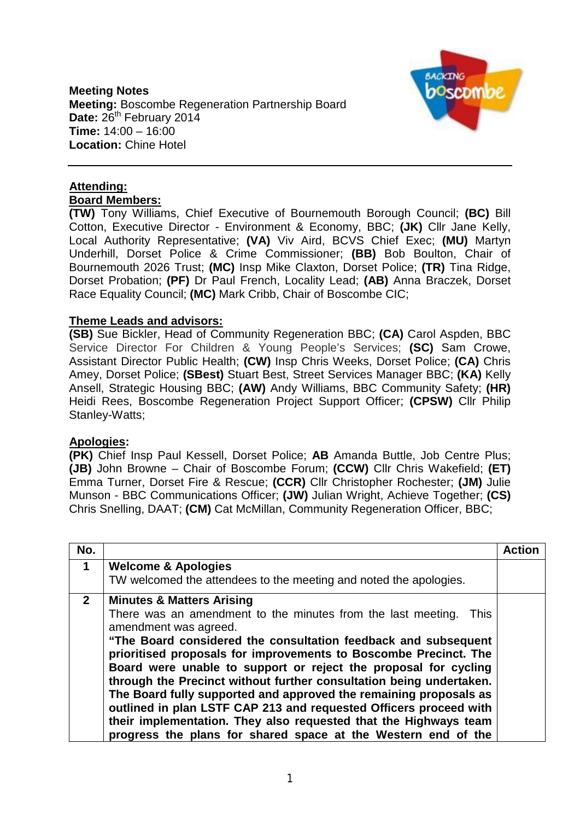### **Meeting Notes Meeting:** Boscombe Regeneration Partnership Board Date: 26<sup>th</sup> February 2014 **Time:** 14:00 – 16:00 **Location:** Chine Hotel



#### **Attending: Board Members:**

**(TW)** Tony Williams, Chief Executive of Bournemouth Borough Council; **(BC)** Bill Cotton, Executive Director - Environment & Economy, BBC; **(JK)** Cllr Jane Kelly, Local Authority Representative; **(VA)** Viv Aird, BCVS Chief Exec; **(MU)** Martyn Underhill, Dorset Police & Crime Commissioner; **(BB)** Bob Boulton, Chair of Bournemouth 2026 Trust; **(MC)** Insp Mike Claxton, Dorset Police; **(TR)** Tina Ridge, Dorset Probation; **(PF)** Dr Paul French, Locality Lead; **(AB)** Anna Braczek, Dorset Race Equality Council; **(MC)** Mark Cribb, Chair of Boscombe CIC;

# **Theme Leads and advisors:**

**(SB)** Sue Bickler, Head of Community Regeneration BBC; **(CA)** Carol Aspden, BBC Service Director For Children & Young People's Services; **(SC)** Sam Crowe, Assistant Director Public Health; **(CW)** Insp Chris Weeks, Dorset Police; **(CA)** Chris Amey, Dorset Police; **(SBest)** Stuart Best, Street Services Manager BBC; **(KA)** Kelly Ansell, Strategic Housing BBC; **(AW)** Andy Williams, BBC Community Safety; **(HR)** Heidi Rees, Boscombe Regeneration Project Support Officer; **(CPSW)** Cllr Philip Stanley-Watts;

# **Apologies:**

**(PK)** Chief Insp Paul Kessell, Dorset Police; **AB** Amanda Buttle, Job Centre Plus; **(JB)** John Browne – Chair of Boscombe Forum; **(CCW)** Cllr Chris Wakefield; **(ET)** Emma Turner, Dorset Fire & Rescue; **(CCR)** Cllr Christopher Rochester; **(JM)** Julie Munson - BBC Communications Officer; **(JW)** Julian Wright, Achieve Together; **(CS)** Chris Snelling, DAAT; **(CM)** Cat McMillan, Community Regeneration Officer, BBC;

| No.            |                                                                                                                                                                                                                                                                                                                                                                                                                                                                                                                                                                                                                                                                                                             | <b>Action</b> |
|----------------|-------------------------------------------------------------------------------------------------------------------------------------------------------------------------------------------------------------------------------------------------------------------------------------------------------------------------------------------------------------------------------------------------------------------------------------------------------------------------------------------------------------------------------------------------------------------------------------------------------------------------------------------------------------------------------------------------------------|---------------|
| $\mathbf 1$    | <b>Welcome &amp; Apologies</b>                                                                                                                                                                                                                                                                                                                                                                                                                                                                                                                                                                                                                                                                              |               |
|                | TW welcomed the attendees to the meeting and noted the apologies.                                                                                                                                                                                                                                                                                                                                                                                                                                                                                                                                                                                                                                           |               |
| 2 <sup>1</sup> | <b>Minutes &amp; Matters Arising</b><br>There was an amendment to the minutes from the last meeting.<br><b>This</b><br>amendment was agreed.<br>"The Board considered the consultation feedback and subsequent<br>prioritised proposals for improvements to Boscombe Precinct. The<br>Board were unable to support or reject the proposal for cycling<br>through the Precinct without further consultation being undertaken.<br>The Board fully supported and approved the remaining proposals as<br>outlined in plan LSTF CAP 213 and requested Officers proceed with<br>their implementation. They also requested that the Highways team<br>progress the plans for shared space at the Western end of the |               |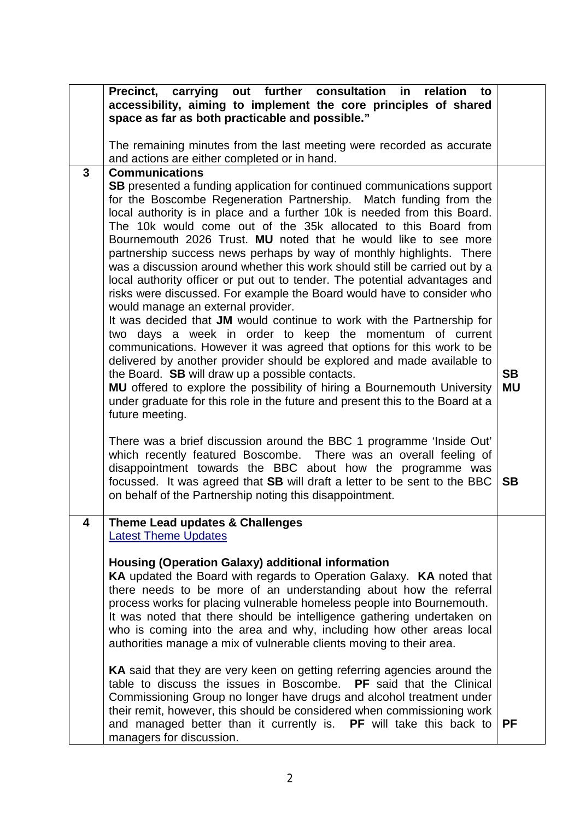|              | carrying<br><b>Precinct,</b><br>out further<br>consultation<br>in<br>relation<br>to<br>accessibility, aiming to implement the core principles of shared<br>space as far as both practicable and possible."                                                                                                                                                                                                                                                                                                                                                                                                                                                                                                                                                                                                                                                                                                                                                                                                                                                                                                                                                                                                                                                                                                                                                                                                                                                                                                                                                                                                                         |                                     |
|--------------|------------------------------------------------------------------------------------------------------------------------------------------------------------------------------------------------------------------------------------------------------------------------------------------------------------------------------------------------------------------------------------------------------------------------------------------------------------------------------------------------------------------------------------------------------------------------------------------------------------------------------------------------------------------------------------------------------------------------------------------------------------------------------------------------------------------------------------------------------------------------------------------------------------------------------------------------------------------------------------------------------------------------------------------------------------------------------------------------------------------------------------------------------------------------------------------------------------------------------------------------------------------------------------------------------------------------------------------------------------------------------------------------------------------------------------------------------------------------------------------------------------------------------------------------------------------------------------------------------------------------------------|-------------------------------------|
|              | The remaining minutes from the last meeting were recorded as accurate<br>and actions are either completed or in hand.                                                                                                                                                                                                                                                                                                                                                                                                                                                                                                                                                                                                                                                                                                                                                                                                                                                                                                                                                                                                                                                                                                                                                                                                                                                                                                                                                                                                                                                                                                              |                                     |
| $\mathbf{3}$ | <b>Communications</b><br><b>SB</b> presented a funding application for continued communications support<br>for the Boscombe Regeneration Partnership. Match funding from the<br>local authority is in place and a further 10k is needed from this Board.<br>The 10k would come out of the 35k allocated to this Board from<br>Bournemouth 2026 Trust. MU noted that he would like to see more<br>partnership success news perhaps by way of monthly highlights. There<br>was a discussion around whether this work should still be carried out by a<br>local authority officer or put out to tender. The potential advantages and<br>risks were discussed. For example the Board would have to consider who<br>would manage an external provider.<br>It was decided that JM would continue to work with the Partnership for<br>two days a week in order to keep the momentum of current<br>communications. However it was agreed that options for this work to be<br>delivered by another provider should be explored and made available to<br>the Board. SB will draw up a possible contacts.<br>MU offered to explore the possibility of hiring a Bournemouth University<br>under graduate for this role in the future and present this to the Board at a<br>future meeting.<br>There was a brief discussion around the BBC 1 programme 'Inside Out'<br>which recently featured Boscombe. There was an overall feeling of<br>disappointment towards the BBC about how the programme was<br>focussed. It was agreed that SB will draft a letter to be sent to the BBC<br>on behalf of the Partnership noting this disappointment. | <b>SB</b><br><b>MU</b><br><b>SB</b> |
| 4            | Theme Lead updates & Challenges                                                                                                                                                                                                                                                                                                                                                                                                                                                                                                                                                                                                                                                                                                                                                                                                                                                                                                                                                                                                                                                                                                                                                                                                                                                                                                                                                                                                                                                                                                                                                                                                    |                                     |
|              | <b>Latest Theme Updates</b><br><b>Housing (Operation Galaxy) additional information</b><br><b>KA</b> updated the Board with regards to Operation Galaxy. <b>KA</b> noted that<br>there needs to be more of an understanding about how the referral<br>process works for placing vulnerable homeless people into Bournemouth.<br>It was noted that there should be intelligence gathering undertaken on<br>who is coming into the area and why, including how other areas local<br>authorities manage a mix of vulnerable clients moving to their area.<br>KA said that they are very keen on getting referring agencies around the<br>table to discuss the issues in Boscombe.<br><b>PF</b> said that the Clinical<br>Commissioning Group no longer have drugs and alcohol treatment under                                                                                                                                                                                                                                                                                                                                                                                                                                                                                                                                                                                                                                                                                                                                                                                                                                         |                                     |
|              | their remit, however, this should be considered when commissioning work<br>and managed better than it currently is. PF will take this back to<br>managers for discussion.                                                                                                                                                                                                                                                                                                                                                                                                                                                                                                                                                                                                                                                                                                                                                                                                                                                                                                                                                                                                                                                                                                                                                                                                                                                                                                                                                                                                                                                          | <b>PF</b>                           |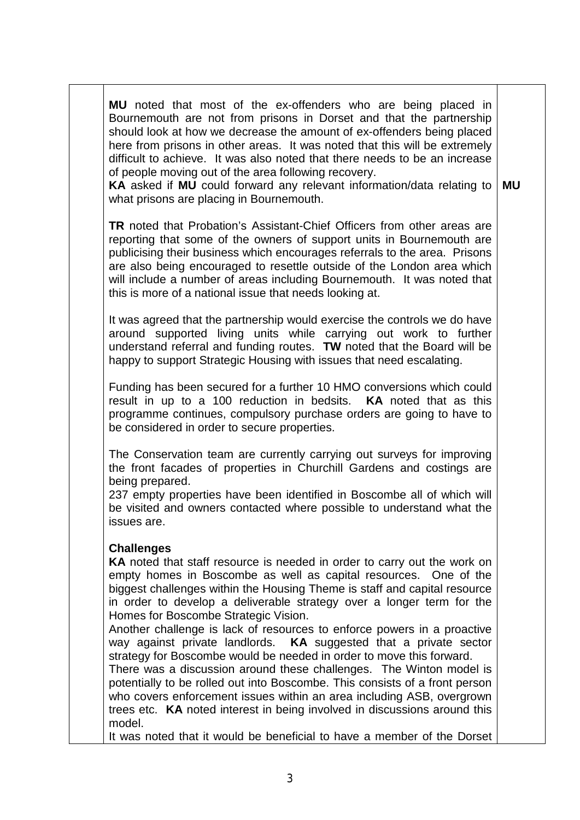**MU** noted that most of the ex-offenders who are being placed in Bournemouth are not from prisons in Dorset and that the partnership should look at how we decrease the amount of ex-offenders being placed here from prisons in other areas. It was noted that this will be extremely difficult to achieve. It was also noted that there needs to be an increase of people moving out of the area following recovery.

**KA** asked if **MU** could forward any relevant information/data relating to what prisons are placing in Bournemouth. **MU**

**TR** noted that Probation's Assistant-Chief Officers from other areas are reporting that some of the owners of support units in Bournemouth are publicising their business which encourages referrals to the area. Prisons are also being encouraged to resettle outside of the London area which will include a number of areas including Bournemouth. It was noted that this is more of a national issue that needs looking at.

It was agreed that the partnership would exercise the controls we do have around supported living units while carrying out work to further understand referral and funding routes. **TW** noted that the Board will be happy to support Strategic Housing with issues that need escalating.

Funding has been secured for a further 10 HMO conversions which could result in up to a 100 reduction in bedsits. **KA** noted that as this programme continues, compulsory purchase orders are going to have to be considered in order to secure properties.

The Conservation team are currently carrying out surveys for improving the front facades of properties in Churchill Gardens and costings are being prepared.

237 empty properties have been identified in Boscombe all of which will be visited and owners contacted where possible to understand what the issues are.

### **Challenges**

**KA** noted that staff resource is needed in order to carry out the work on empty homes in Boscombe as well as capital resources. One of the biggest challenges within the Housing Theme is staff and capital resource in order to develop a deliverable strategy over a longer term for the Homes for Boscombe Strategic Vision.

Another challenge is lack of resources to enforce powers in a proactive way against private landlords. **KA** suggested that a private sector strategy for Boscombe would be needed in order to move this forward.

There was a discussion around these challenges. The Winton model is potentially to be rolled out into Boscombe. This consists of a front person who covers enforcement issues within an area including ASB, overgrown trees etc. **KA** noted interest in being involved in discussions around this model.

It was noted that it would be beneficial to have a member of the Dorset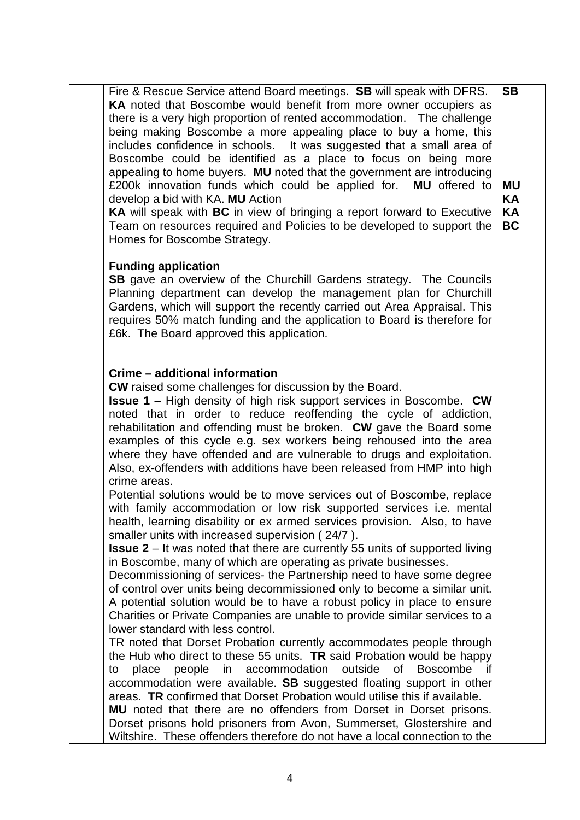Fire & Rescue Service attend Board meetings. **SB** will speak with DFRS. **KA** noted that Boscombe would benefit from more owner occupiers as there is a very high proportion of rented accommodation. The challenge being making Boscombe a more appealing place to buy a home, this includes confidence in schools. It was suggested that a small area of Boscombe could be identified as a place to focus on being more appealing to home buyers. **MU** noted that the government are introducing £200k innovation funds which could be applied for. **MU** offered to develop a bid with KA. **MU** Action **SB MU KA**

**KA** will speak with **BC** in view of bringing a report forward to Executive Team on resources required and Policies to be developed to support the **KA BC**

### **Funding application**

Homes for Boscombe Strategy.

**SB** gave an overview of the Churchill Gardens strategy. The Councils Planning department can develop the management plan for Churchill Gardens, which will support the recently carried out Area Appraisal. This requires 50% match funding and the application to Board is therefore for £6k. The Board approved this application.

#### **Crime – additional information**

**CW** raised some challenges for discussion by the Board.

**Issue 1** – High density of high risk support services in Boscombe. **CW** noted that in order to reduce reoffending the cycle of addiction, rehabilitation and offending must be broken. **CW** gave the Board some examples of this cycle e.g. sex workers being rehoused into the area where they have offended and are vulnerable to drugs and exploitation. Also, ex-offenders with additions have been released from HMP into high crime areas.

Potential solutions would be to move services out of Boscombe, replace with family accommodation or low risk supported services *i.e.* mental health, learning disability or ex armed services provision. Also, to have smaller units with increased supervision ( 24/7 ).

**Issue 2** – It was noted that there are currently 55 units of supported living in Boscombe, many of which are operating as private businesses.

Decommissioning of services- the Partnership need to have some degree of control over units being decommissioned only to become a similar unit. A potential solution would be to have a robust policy in place to ensure Charities or Private Companies are unable to provide similar services to a lower standard with less control.

TR noted that Dorset Probation currently accommodates people through the Hub who direct to these 55 units. **TR** said Probation would be happy to place people in accommodation outside of Boscombe accommodation were available. **SB** suggested floating support in other areas. **TR** confirmed that Dorset Probation would utilise this if available. **MU** noted that there are no offenders from Dorset in Dorset prisons. Dorset prisons hold prisoners from Avon, Summerset, Glostershire and

Wiltshire. These offenders therefore do not have a local connection to the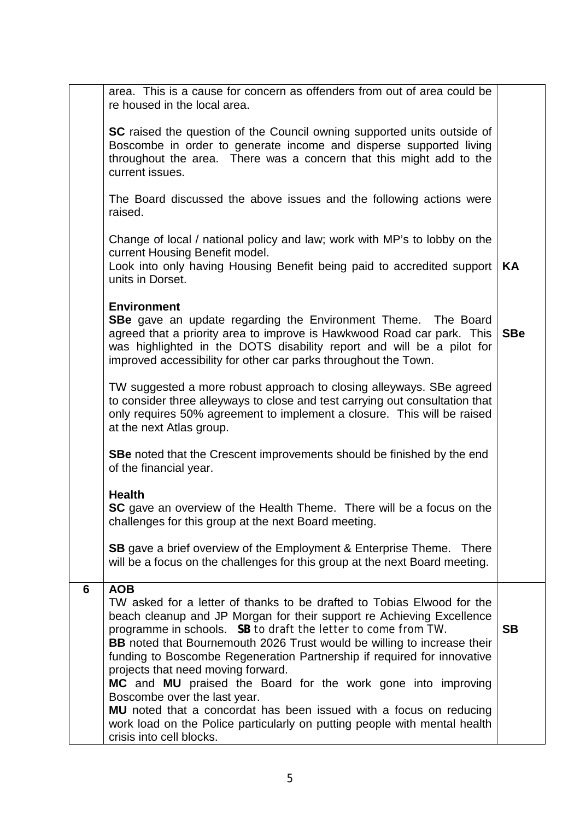|   | <b>SC</b> raised the question of the Council owning supported units outside of |            |
|---|--------------------------------------------------------------------------------|------------|
|   | Boscombe in order to generate income and disperse supported living             |            |
|   | throughout the area. There was a concern that this might add to the            |            |
|   | current issues.                                                                |            |
|   |                                                                                |            |
|   | The Board discussed the above issues and the following actions were            |            |
|   | raised.                                                                        |            |
|   |                                                                                |            |
|   | Change of local / national policy and law; work with MP's to lobby on the      |            |
|   | current Housing Benefit model.                                                 |            |
|   | Look into only having Housing Benefit being paid to accredited support         | KA         |
|   | units in Dorset.                                                               |            |
|   |                                                                                |            |
|   | <b>Environment</b>                                                             |            |
|   | <b>SBe</b> gave an update regarding the Environment Theme. The Board           |            |
|   | agreed that a priority area to improve is Hawkwood Road car park. This         | <b>SBe</b> |
|   |                                                                                |            |
|   | was highlighted in the DOTS disability report and will be a pilot for          |            |
|   | improved accessibility for other car parks throughout the Town.                |            |
|   |                                                                                |            |
|   | TW suggested a more robust approach to closing alleyways. SBe agreed           |            |
|   | to consider three alleyways to close and test carrying out consultation that   |            |
|   | only requires 50% agreement to implement a closure. This will be raised        |            |
|   | at the next Atlas group.                                                       |            |
|   |                                                                                |            |
|   | <b>SBe</b> noted that the Crescent improvements should be finished by the end  |            |
|   | of the financial year.                                                         |            |
|   |                                                                                |            |
|   | <b>Health</b>                                                                  |            |
|   | <b>SC</b> gave an overview of the Health Theme. There will be a focus on the   |            |
|   | challenges for this group at the next Board meeting.                           |            |
|   |                                                                                |            |
|   | <b>SB</b> gave a brief overview of the Employment & Enterprise Theme. There    |            |
|   | will be a focus on the challenges for this group at the next Board meeting.    |            |
|   |                                                                                |            |
| 6 | <b>AOB</b>                                                                     |            |
|   | TW asked for a letter of thanks to be drafted to Tobias Elwood for the         |            |
|   | beach cleanup and JP Morgan for their support re Achieving Excellence          |            |
|   | programme in schools. SB to draft the letter to come from TW.                  | <b>SB</b>  |
|   | <b>BB</b> noted that Bournemouth 2026 Trust would be willing to increase their |            |
|   | funding to Boscombe Regeneration Partnership if required for innovative        |            |
|   | projects that need moving forward.                                             |            |
|   | MC and MU praised the Board for the work gone into improving                   |            |
|   | Boscombe over the last year.                                                   |            |
|   | MU noted that a concordat has been issued with a focus on reducing             |            |
|   | work load on the Police particularly on putting people with mental health      |            |
|   | crisis into cell blocks.                                                       |            |
|   |                                                                                |            |